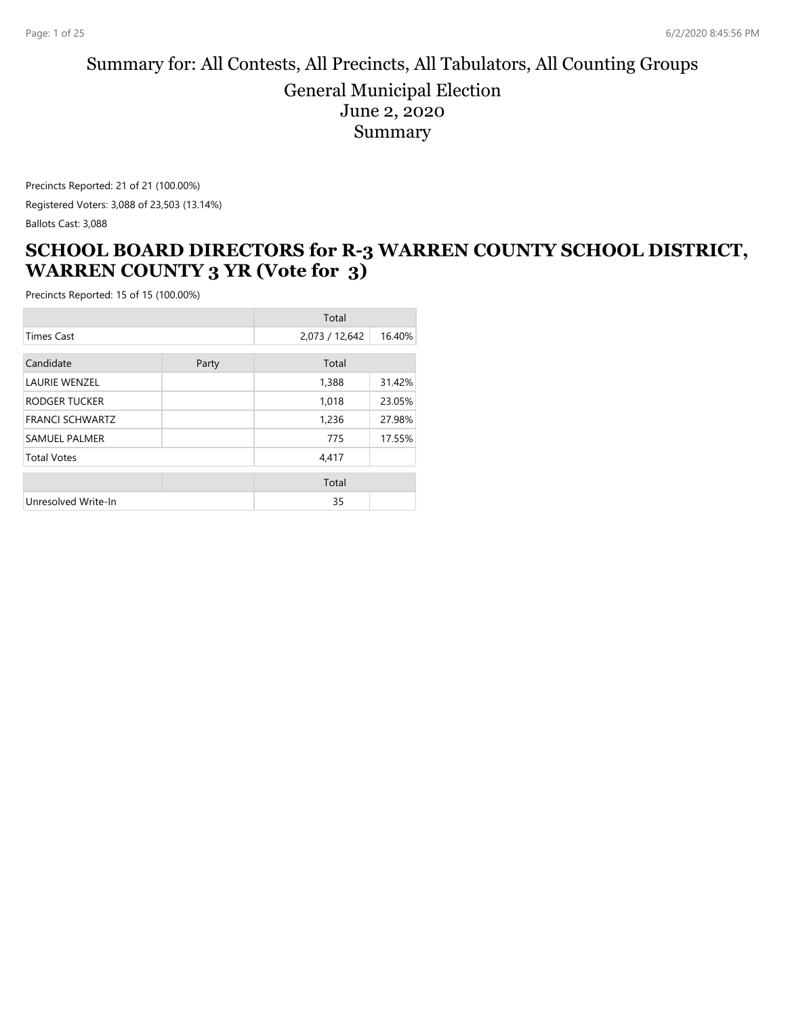#### Summary for: All Contests, All Precincts, All Tabulators, All Counting Groups General Municipal Election June 2, 2020 Summary

Precincts Reported: 21 of 21 (100.00%) Registered Voters: 3,088 of 23,503 (13.14%) Ballots Cast: 3,088

#### **SCHOOL BOARD DIRECTORS for R-3 WARREN COUNTY SCHOOL DISTRICT, WARREN COUNTY 3 YR (Vote for 3)**

|                        |       | Total          |        |
|------------------------|-------|----------------|--------|
| <b>Times Cast</b>      |       | 2,073 / 12,642 | 16.40% |
| Candidate              | Party | Total          |        |
| <b>LAURIE WENZEL</b>   |       | 1,388          | 31.42% |
| RODGER TUCKER          |       | 1,018          | 23.05% |
| <b>FRANCI SCHWARTZ</b> |       | 1,236          | 27.98% |
| <b>SAMUEL PALMER</b>   |       | 775            | 17.55% |
| <b>Total Votes</b>     |       | 4,417          |        |
|                        |       | Total          |        |
| Unresolved Write-In    |       | 35             |        |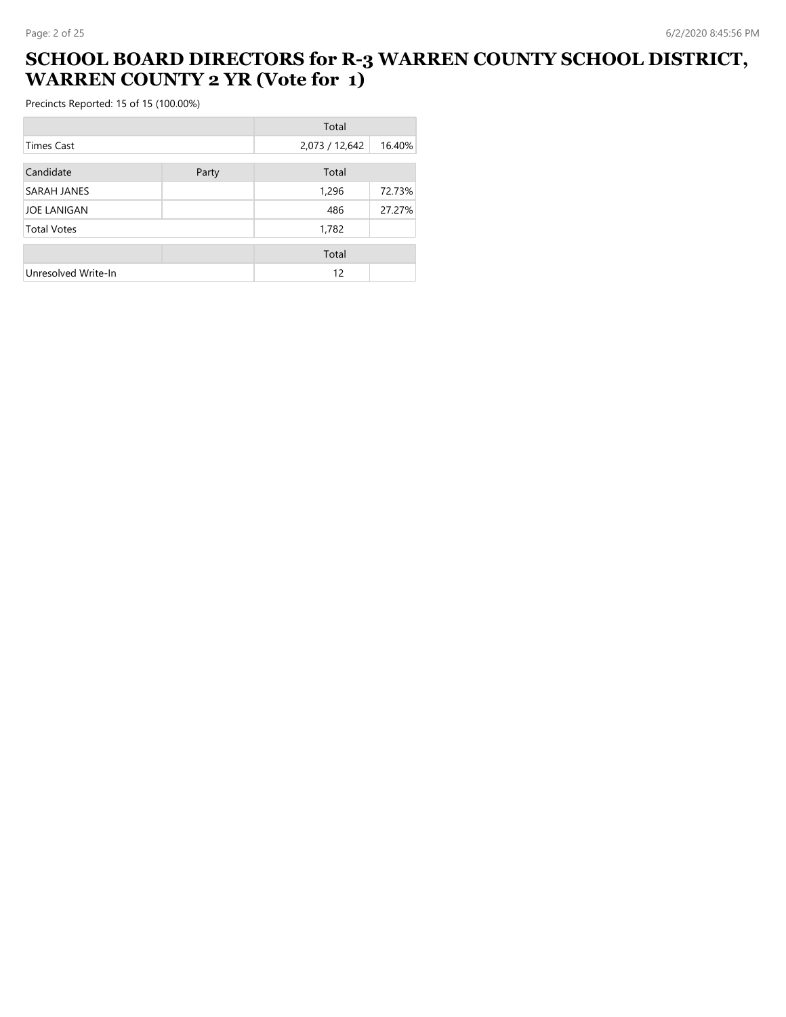## **SCHOOL BOARD DIRECTORS for R-3 WARREN COUNTY SCHOOL DISTRICT, WARREN COUNTY 2 YR (Vote for 1)**

|                     |       | Total          |        |
|---------------------|-------|----------------|--------|
| Times Cast          |       | 2,073 / 12,642 | 16.40% |
| Candidate           | Party | Total          |        |
| SARAH JANES         |       | 1,296          | 72.73% |
| <b>JOE LANIGAN</b>  |       | 486            | 27.27% |
| <b>Total Votes</b>  |       | 1,782          |        |
|                     |       | Total          |        |
| Unresolved Write-In |       | 12             |        |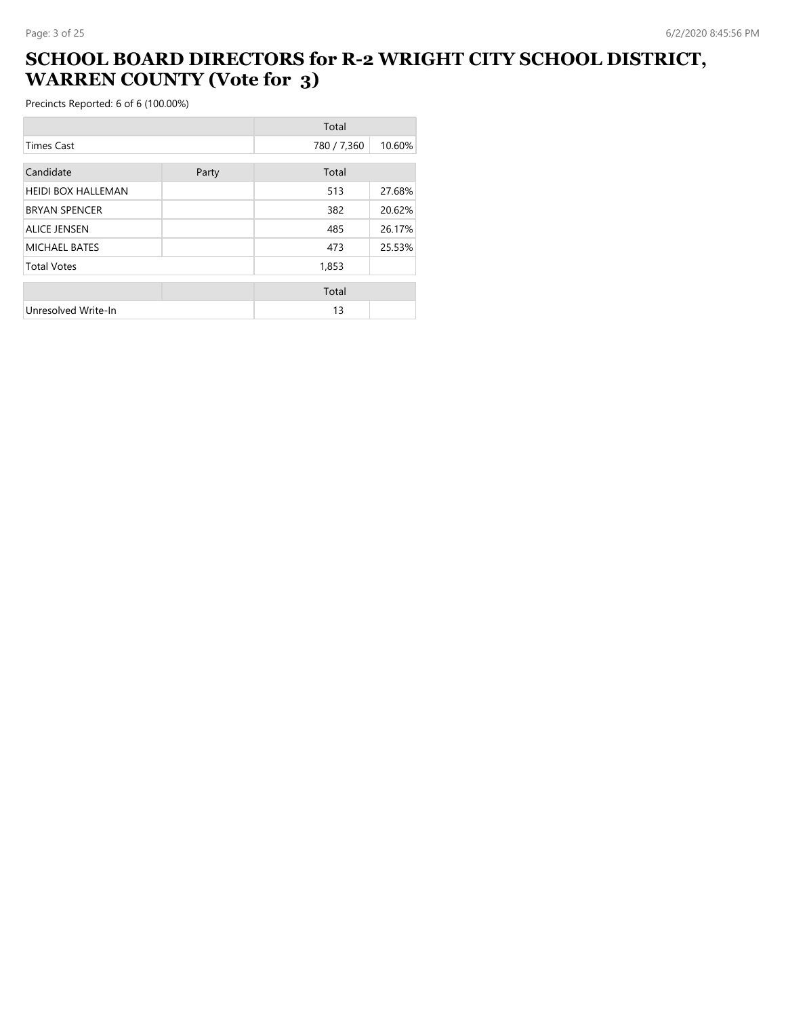## **SCHOOL BOARD DIRECTORS for R-2 WRIGHT CITY SCHOOL DISTRICT, WARREN COUNTY (Vote for 3)**

|                           |       | Total       |        |
|---------------------------|-------|-------------|--------|
| <b>Times Cast</b>         |       | 780 / 7,360 | 10.60% |
| Candidate                 | Party | Total       |        |
| <b>HEIDI BOX HALLEMAN</b> |       | 513         | 27.68% |
| <b>BRYAN SPENCER</b>      |       | 382         | 20.62% |
| <b>ALICE JENSEN</b>       |       | 485         | 26.17% |
| MICHAEL BATES             |       | 473         | 25.53% |
| <b>Total Votes</b>        |       | 1,853       |        |
|                           |       | Total       |        |
| Unresolved Write-In       |       | 13          |        |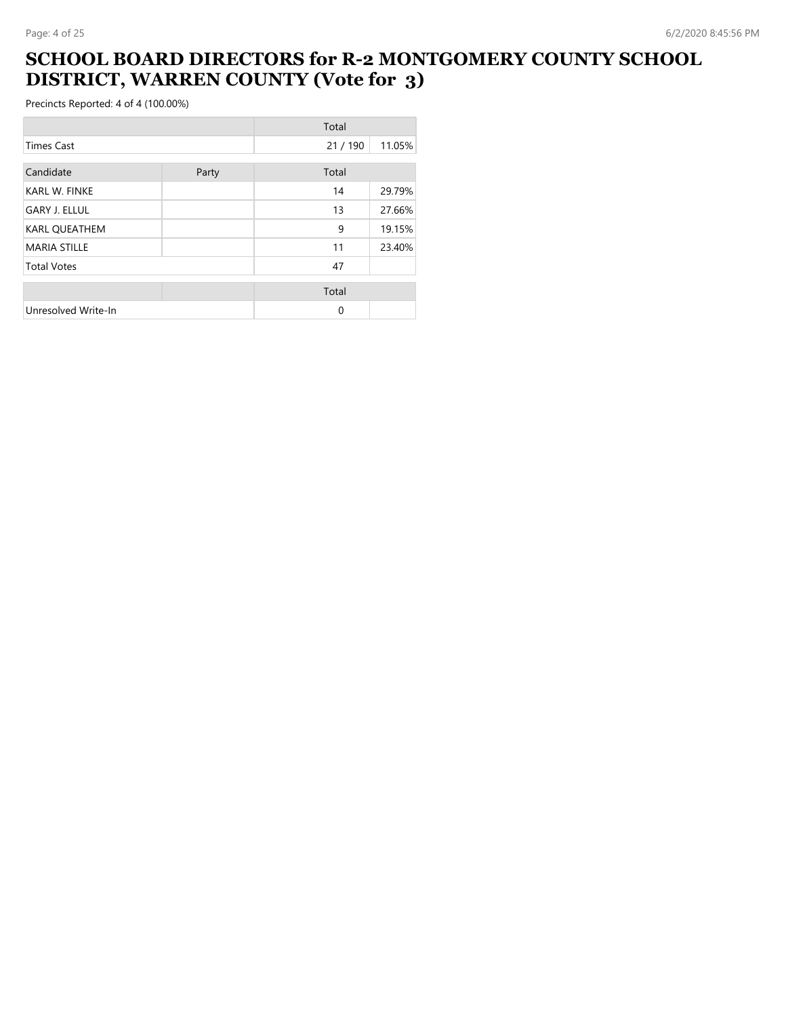#### **SCHOOL BOARD DIRECTORS for R-2 MONTGOMERY COUNTY SCHOOL DISTRICT, WARREN COUNTY (Vote for 3)**

|                      |       | Total  |        |
|----------------------|-------|--------|--------|
| <b>Times Cast</b>    |       | 21/190 | 11.05% |
| Candidate            | Party | Total  |        |
| <b>KARL W. FINKE</b> |       | 14     | 29.79% |
| <b>GARY J. ELLUL</b> |       | 13     | 27.66% |
| <b>KARL QUEATHEM</b> |       | 9      | 19.15% |
| <b>MARIA STILLE</b>  |       | 11     | 23.40% |
| <b>Total Votes</b>   |       | 47     |        |
|                      |       | Total  |        |
| Unresolved Write-In  |       | 0      |        |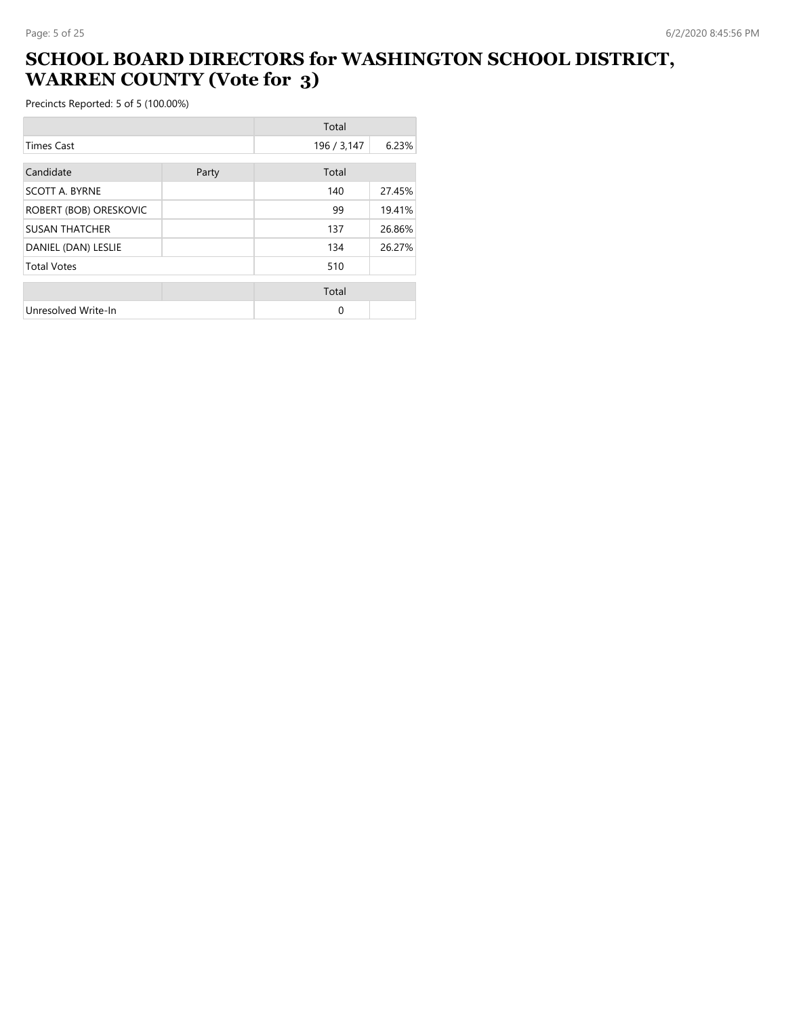# **SCHOOL BOARD DIRECTORS for WASHINGTON SCHOOL DISTRICT, WARREN COUNTY (Vote for 3)**

|                        |       | Total       |        |
|------------------------|-------|-------------|--------|
| <b>Times Cast</b>      |       | 196 / 3,147 | 6.23%  |
| Candidate              | Party | Total       |        |
| <b>SCOTT A. BYRNE</b>  |       | 140         | 27.45% |
| ROBERT (BOB) ORESKOVIC |       | 99          | 19.41% |
| <b>SUSAN THATCHER</b>  |       | 137         | 26.86% |
| DANIEL (DAN) LESLIE    |       | 134         | 26.27% |
| <b>Total Votes</b>     |       | 510         |        |
|                        |       | Total       |        |
| Unresolved Write-In    |       | 0           |        |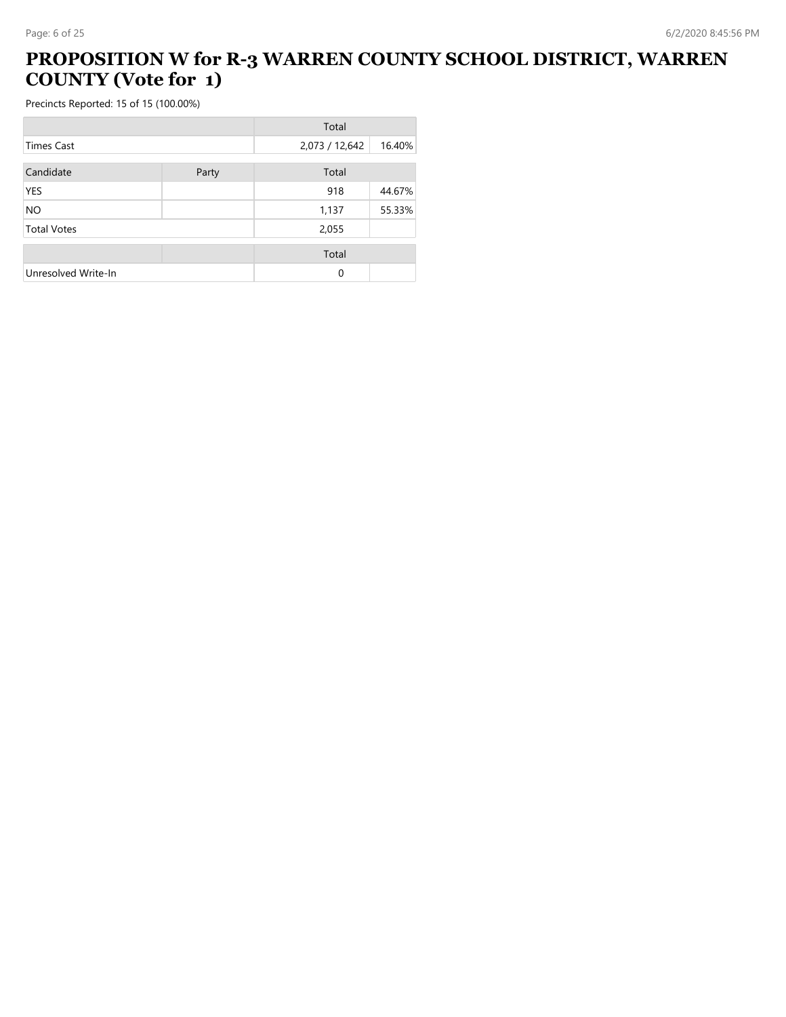# **PROPOSITION W for R-3 WARREN COUNTY SCHOOL DISTRICT, WARREN COUNTY (Vote for 1)**

|                     |       | Total          |        |
|---------------------|-------|----------------|--------|
| <b>Times Cast</b>   |       | 2,073 / 12,642 | 16.40% |
| Candidate           | Party | Total          |        |
|                     |       |                |        |
| YES                 |       | 918            | 44.67% |
| NO.                 |       | 1,137          | 55.33% |
| <b>Total Votes</b>  |       | 2,055          |        |
|                     |       | Total          |        |
| Unresolved Write-In |       | $\Omega$       |        |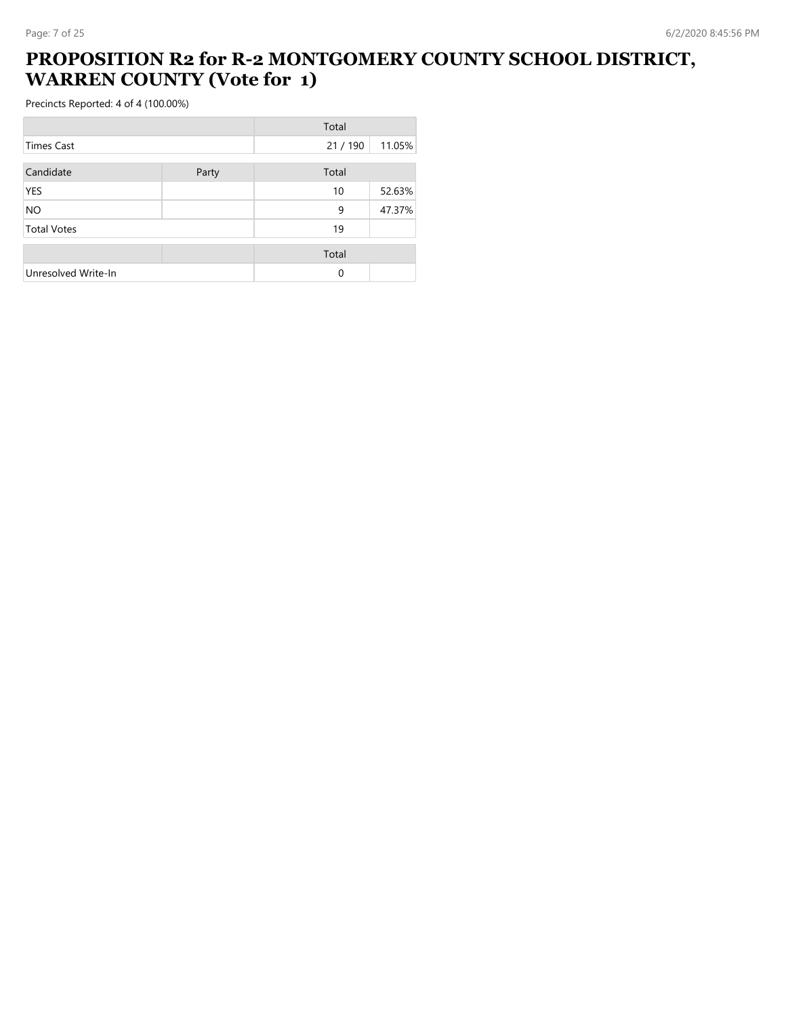### **PROPOSITION R2 for R-2 MONTGOMERY COUNTY SCHOOL DISTRICT, WARREN COUNTY (Vote for 1)**

|                     |       | Total    |        |
|---------------------|-------|----------|--------|
| <b>Times Cast</b>   |       | 21/190   | 11.05% |
| Candidate           | Party | Total    |        |
| YES                 |       | 10       | 52.63% |
| <b>NO</b>           |       | 9        | 47.37% |
| <b>Total Votes</b>  |       | 19       |        |
|                     |       | Total    |        |
| Unresolved Write-In |       | $\Omega$ |        |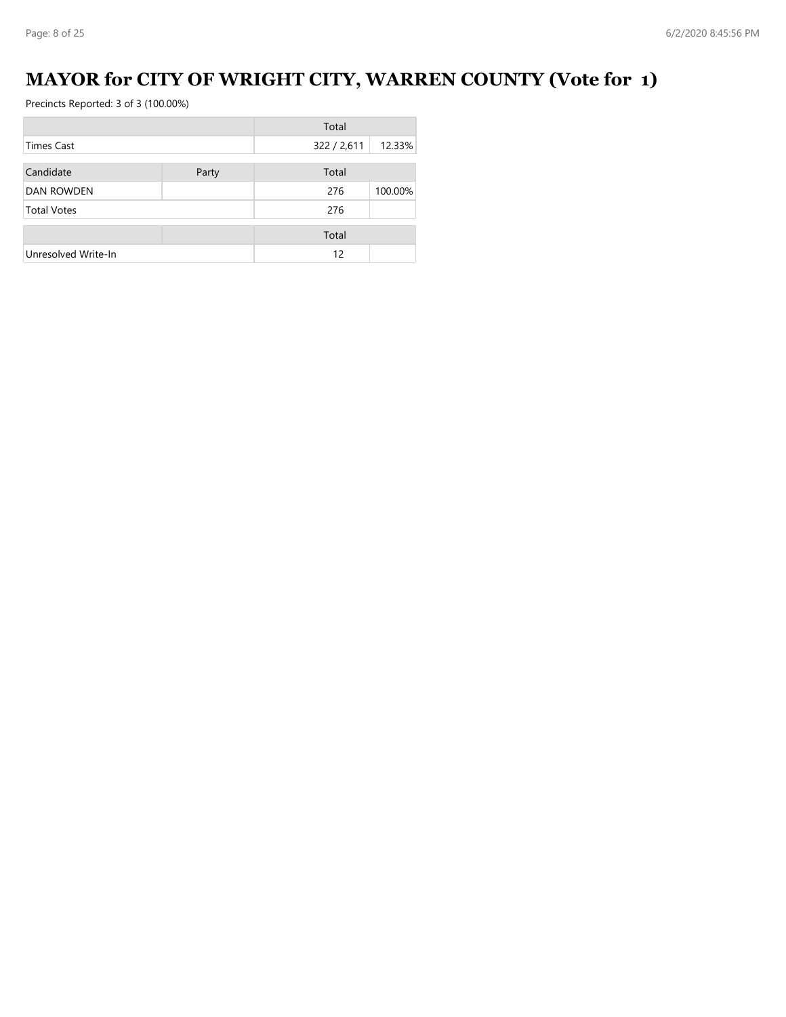# **MAYOR for CITY OF WRIGHT CITY, WARREN COUNTY (Vote for 1)**

|                     |       | Total       |         |
|---------------------|-------|-------------|---------|
| <b>Times Cast</b>   |       | 322 / 2,611 | 12.33%  |
| Candidate           | Party | Total       |         |
| <b>DAN ROWDEN</b>   |       | 276         | 100.00% |
| <b>Total Votes</b>  |       | 276         |         |
|                     |       | Total       |         |
| Unresolved Write-In |       | 12          |         |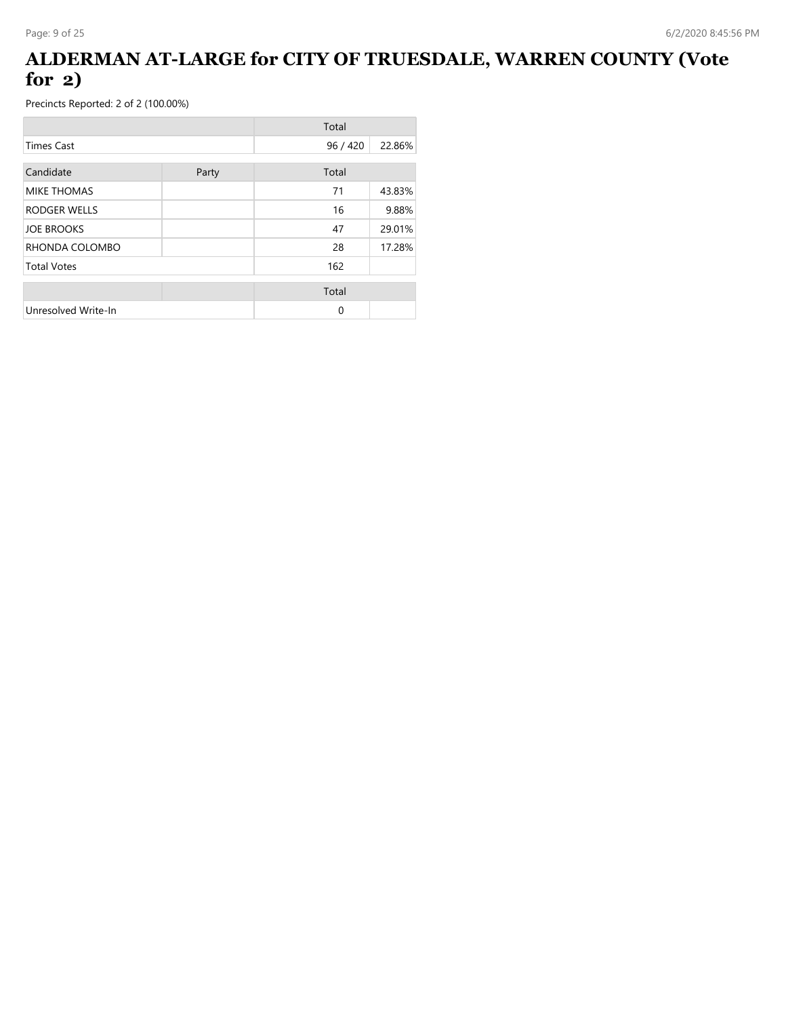## **ALDERMAN AT-LARGE for CITY OF TRUESDALE, WARREN COUNTY (Vote for 2)**

|                     |  | Total    |        |
|---------------------|--|----------|--------|
| <b>Times Cast</b>   |  | 96/420   | 22.86% |
| Candidate<br>Party  |  | Total    |        |
| <b>MIKE THOMAS</b>  |  | 71       | 43.83% |
| <b>RODGER WELLS</b> |  | 16       | 9.88%  |
| <b>JOE BROOKS</b>   |  | 47       | 29.01% |
| RHONDA COLOMBO      |  | 28       | 17.28% |
| <b>Total Votes</b>  |  | 162      |        |
|                     |  | Total    |        |
| Unresolved Write-In |  | $\Omega$ |        |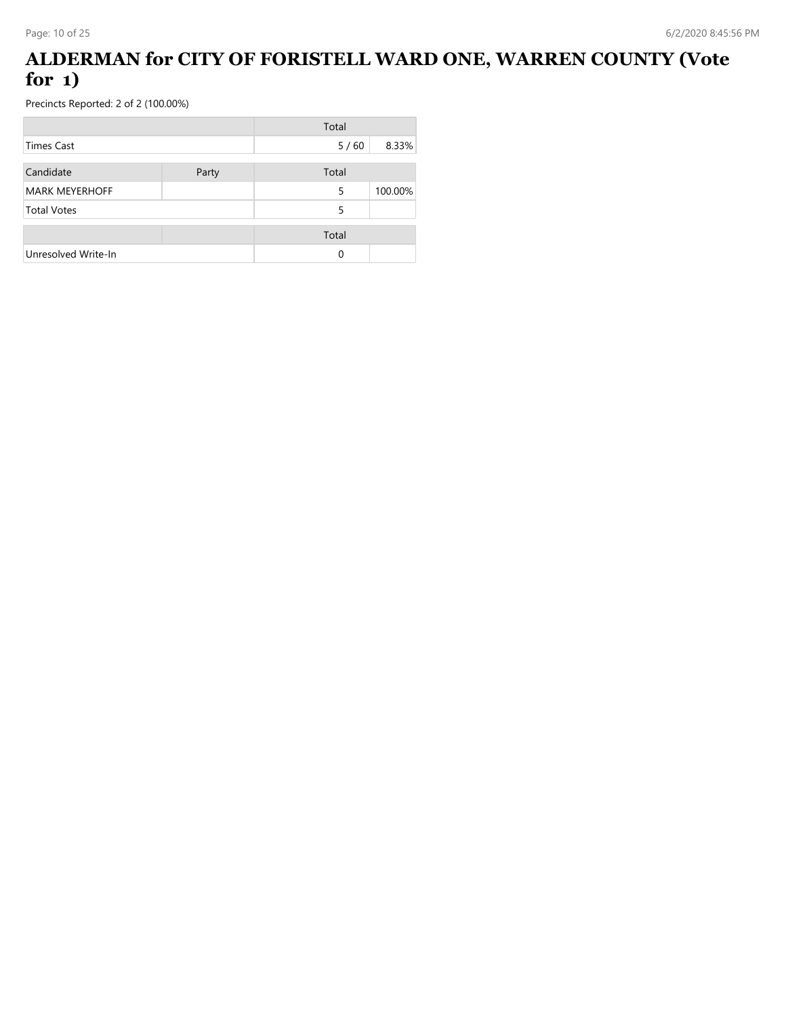# **ALDERMAN for CITY OF FORISTELL WARD ONE, WARREN COUNTY (Vote for 1)**

|                       |       | Total  |         |
|-----------------------|-------|--------|---------|
| Times Cast            |       | $5/60$ | 8.33%   |
| Candidate             | Party | Total  |         |
| <b>MARK MEYERHOFF</b> |       | 5      | 100.00% |
| <b>Total Votes</b>    |       | 5      |         |
|                       |       | Total  |         |
| Unresolved Write-In   |       | 0      |         |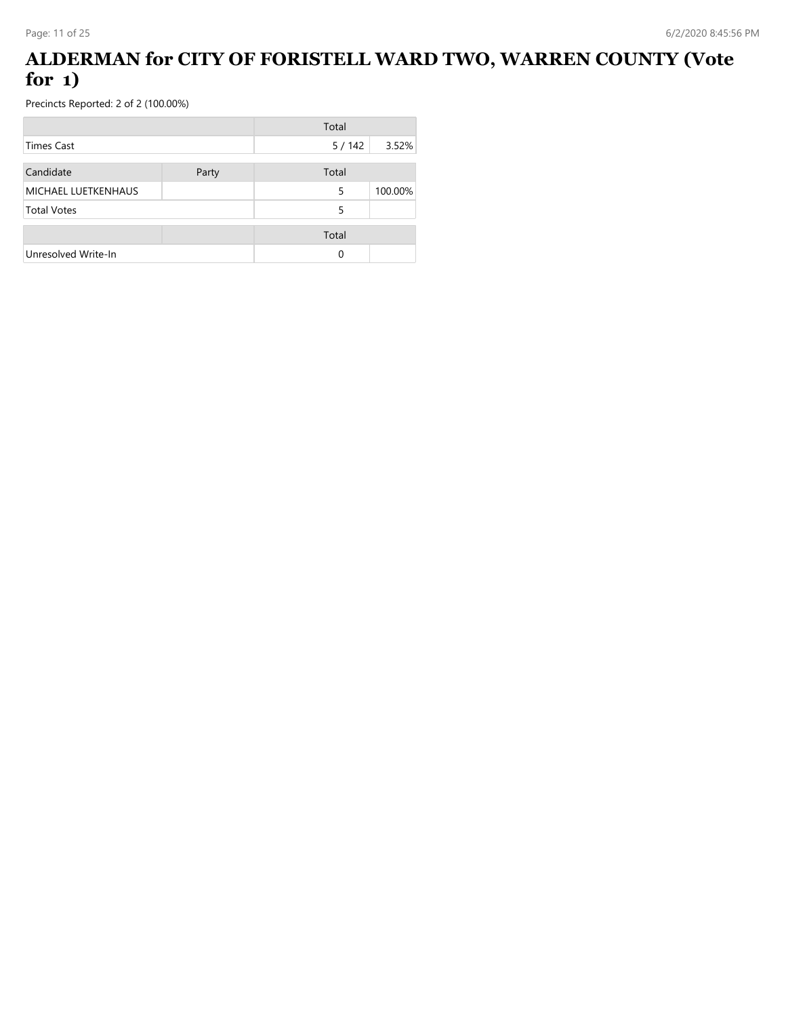# **ALDERMAN for CITY OF FORISTELL WARD TWO, WARREN COUNTY (Vote for 1)**

|                     |       | Total |         |
|---------------------|-------|-------|---------|
| Times Cast          |       | 5/142 | 3.52%   |
| Candidate           | Party | Total |         |
| MICHAEL LUETKENHAUS |       | 5     | 100.00% |
| <b>Total Votes</b>  |       | 5     |         |
|                     |       | Total |         |
| Unresolved Write-In |       | 0     |         |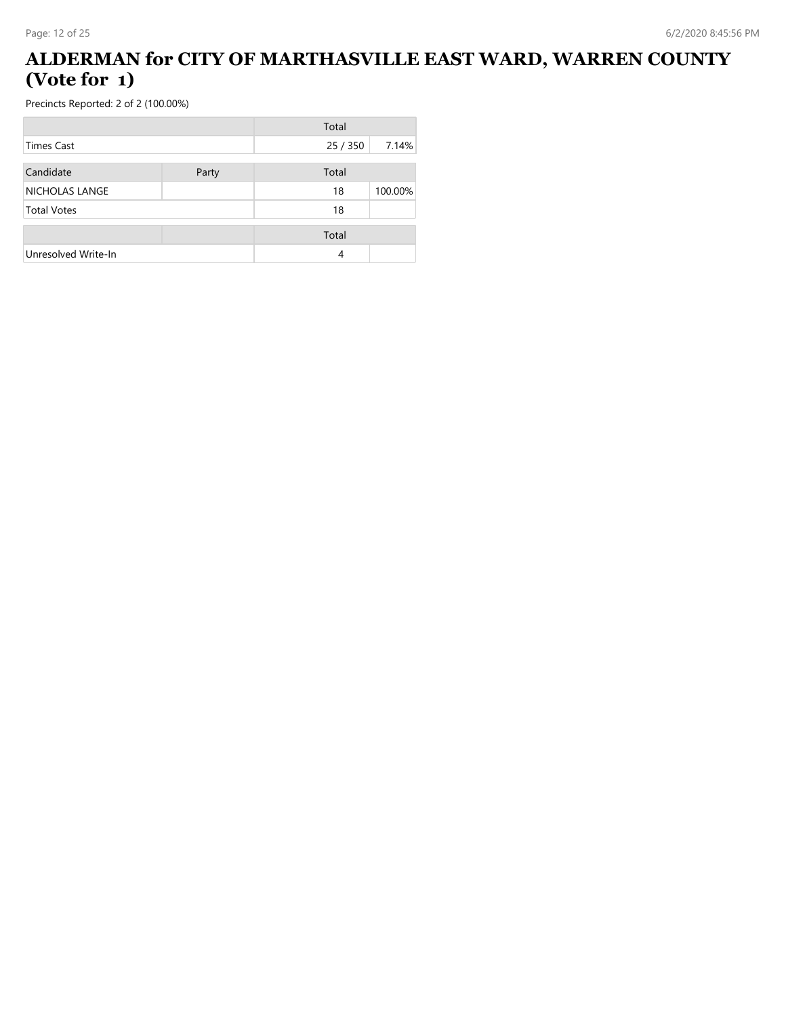#### **ALDERMAN for CITY OF MARTHASVILLE EAST WARD, WARREN COUNTY (Vote for 1)**

|                     |       | Total    |         |
|---------------------|-------|----------|---------|
| Times Cast          |       | 25 / 350 | 7.14%   |
| Candidate           | Party | Total    |         |
| NICHOLAS LANGE      |       | 18       | 100.00% |
| <b>Total Votes</b>  |       | 18       |         |
|                     |       | Total    |         |
| Unresolved Write-In |       | 4        |         |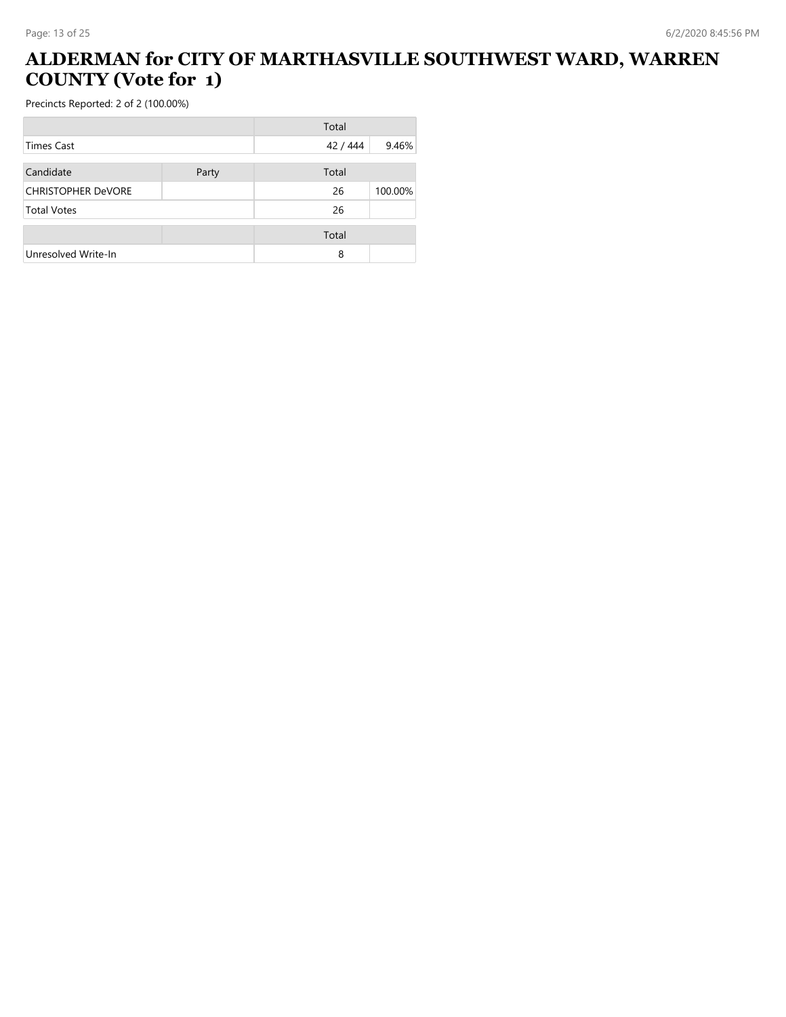# **ALDERMAN for CITY OF MARTHASVILLE SOUTHWEST WARD, WARREN COUNTY (Vote for 1)**

|                           |       | Total    |         |
|---------------------------|-------|----------|---------|
| Times Cast                |       | 42 / 444 | 9.46%   |
| Candidate                 | Party | Total    |         |
| <b>CHRISTOPHER DeVORE</b> |       | 26       | 100.00% |
| <b>Total Votes</b>        |       | 26       |         |
|                           |       | Total    |         |
| Unresolved Write-In       |       | 8        |         |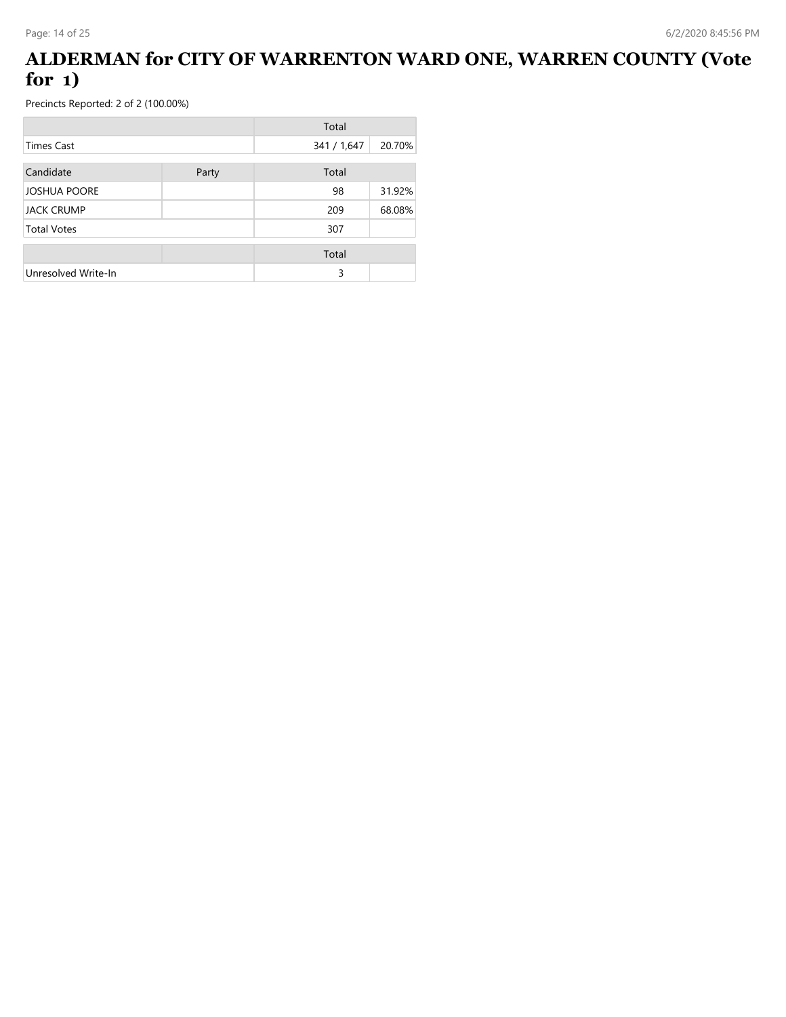## **ALDERMAN for CITY OF WARRENTON WARD ONE, WARREN COUNTY (Vote for 1)**

|                     |       | Total       |        |
|---------------------|-------|-------------|--------|
| <b>Times Cast</b>   |       | 341 / 1,647 | 20.70% |
| Candidate           | Party | Total       |        |
| <b>JOSHUA POORE</b> |       | 98          | 31.92% |
| <b>JACK CRUMP</b>   |       | 209         | 68.08% |
| <b>Total Votes</b>  |       | 307         |        |
|                     |       | Total       |        |
| Unresolved Write-In |       | 3           |        |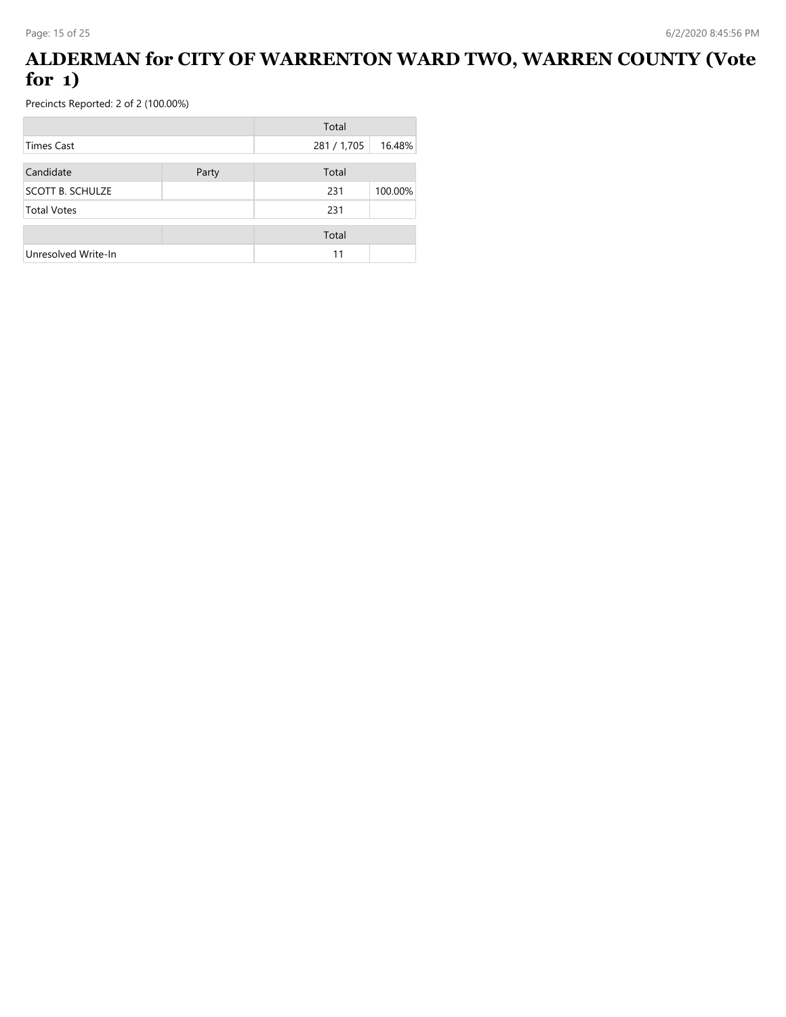## **ALDERMAN for CITY OF WARRENTON WARD TWO, WARREN COUNTY (Vote for 1)**

|                         |       | Total       |         |
|-------------------------|-------|-------------|---------|
| Times Cast              |       | 281 / 1,705 | 16.48%  |
| Candidate               | Party | Total       |         |
| <b>SCOTT B. SCHULZE</b> |       | 231         | 100.00% |
| <b>Total Votes</b>      |       | 231         |         |
|                         |       | Total       |         |
| Unresolved Write-In     |       | 11          |         |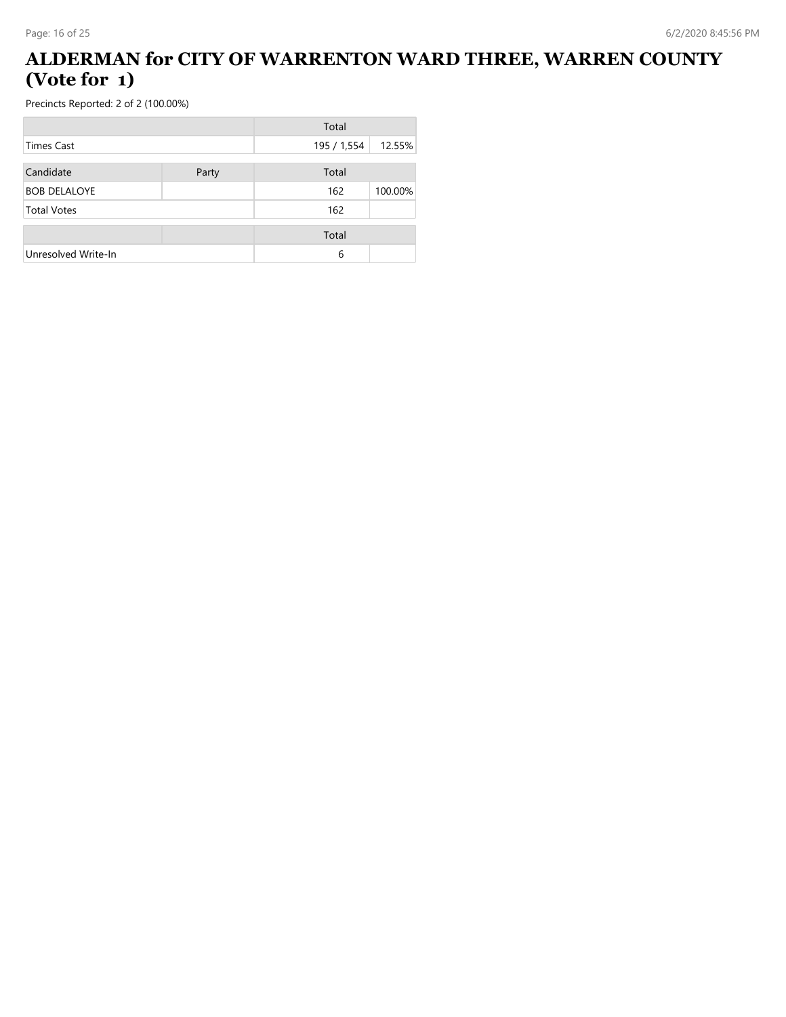## **ALDERMAN for CITY OF WARRENTON WARD THREE, WARREN COUNTY (Vote for 1)**

|                     |       | Total       |         |
|---------------------|-------|-------------|---------|
| <b>Times Cast</b>   |       | 195 / 1,554 | 12.55%  |
| Candidate           | Party | Total       |         |
| <b>BOB DELALOYE</b> |       | 162         | 100.00% |
| <b>Total Votes</b>  |       | 162         |         |
|                     |       | Total       |         |
| Unresolved Write-In |       | 6           |         |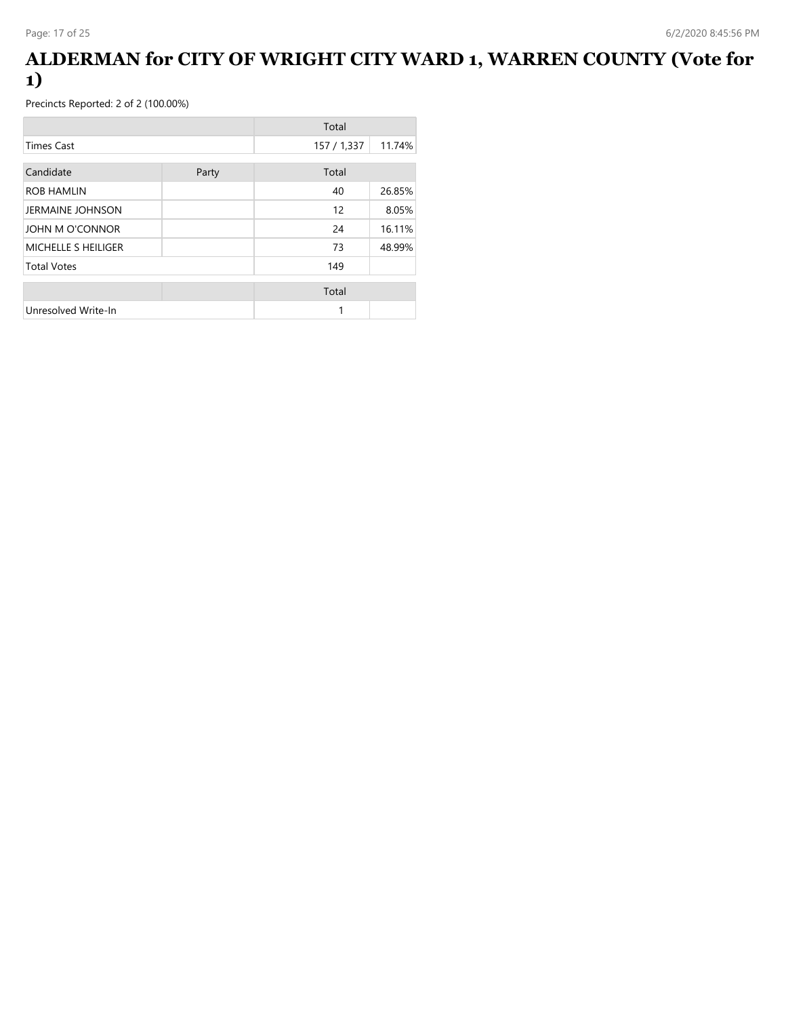### **ALDERMAN for CITY OF WRIGHT CITY WARD 1, WARREN COUNTY (Vote for 1)**

|                     |       | Total       |        |
|---------------------|-------|-------------|--------|
| <b>Times Cast</b>   |       | 157 / 1,337 | 11.74% |
| Candidate           | Party | Total       |        |
| <b>ROB HAMLIN</b>   |       | 40          | 26.85% |
| JERMAINE JOHNSON    |       | 12          | 8.05%  |
| JOHN M O'CONNOR     |       | 24          | 16.11% |
| MICHELLE S HEILIGER |       | 73          | 48.99% |
| <b>Total Votes</b>  |       | 149         |        |
|                     |       | Total       |        |
| Unresolved Write-In |       | 1           |        |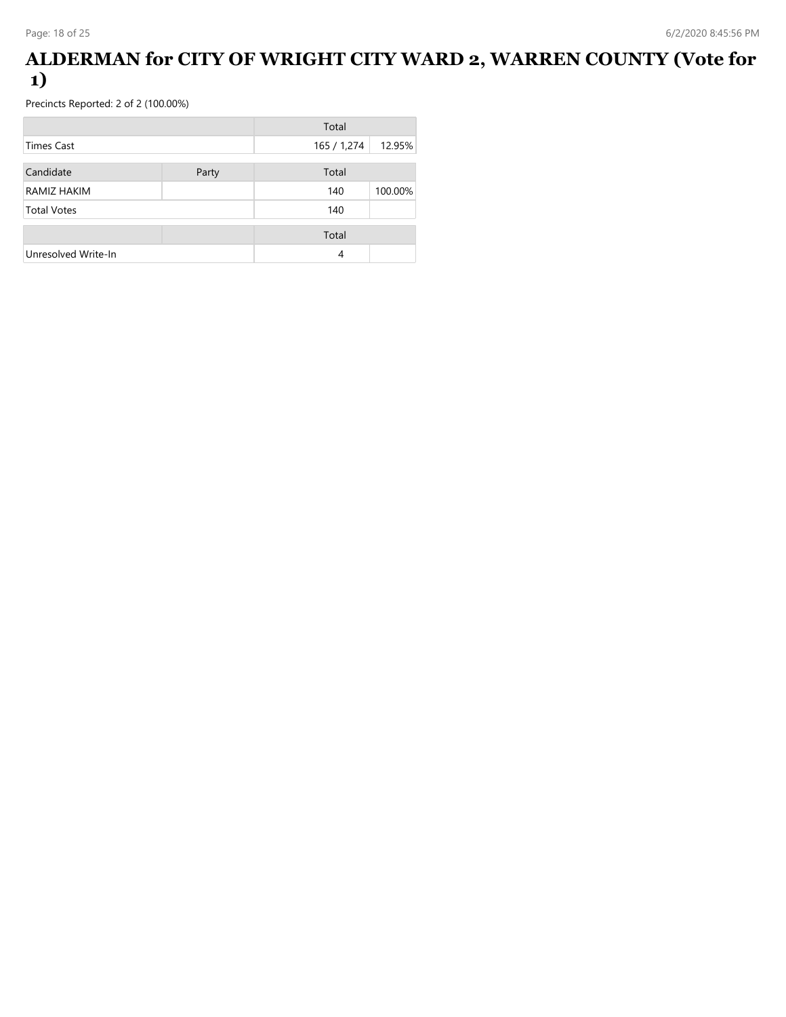### **ALDERMAN for CITY OF WRIGHT CITY WARD 2, WARREN COUNTY (Vote for 1)**

|                     |       | Total       |         |
|---------------------|-------|-------------|---------|
| <b>Times Cast</b>   |       | 165 / 1,274 | 12.95%  |
| Candidate           | Party | Total       |         |
| RAMIZ HAKIM         |       | 140         | 100.00% |
| <b>Total Votes</b>  |       | 140         |         |
|                     |       | Total       |         |
| Unresolved Write-In |       | 4           |         |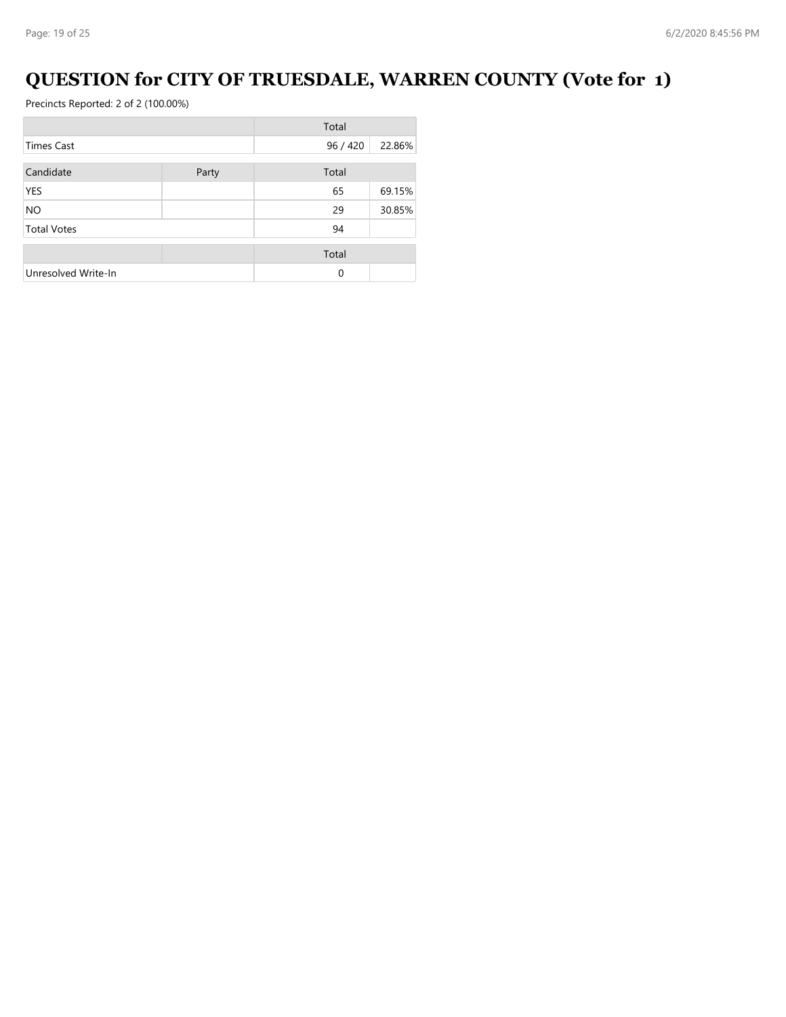# **QUESTION for CITY OF TRUESDALE, WARREN COUNTY (Vote for 1)**

|                     |       | Total    |        |
|---------------------|-------|----------|--------|
| Times Cast          |       | 96 / 420 | 22.86% |
| Candidate           | Party | Total    |        |
| YES                 |       | 65       | 69.15% |
| NO.                 |       | 29       | 30.85% |
| <b>Total Votes</b>  |       | 94       |        |
|                     |       | Total    |        |
| Unresolved Write-In |       | 0        |        |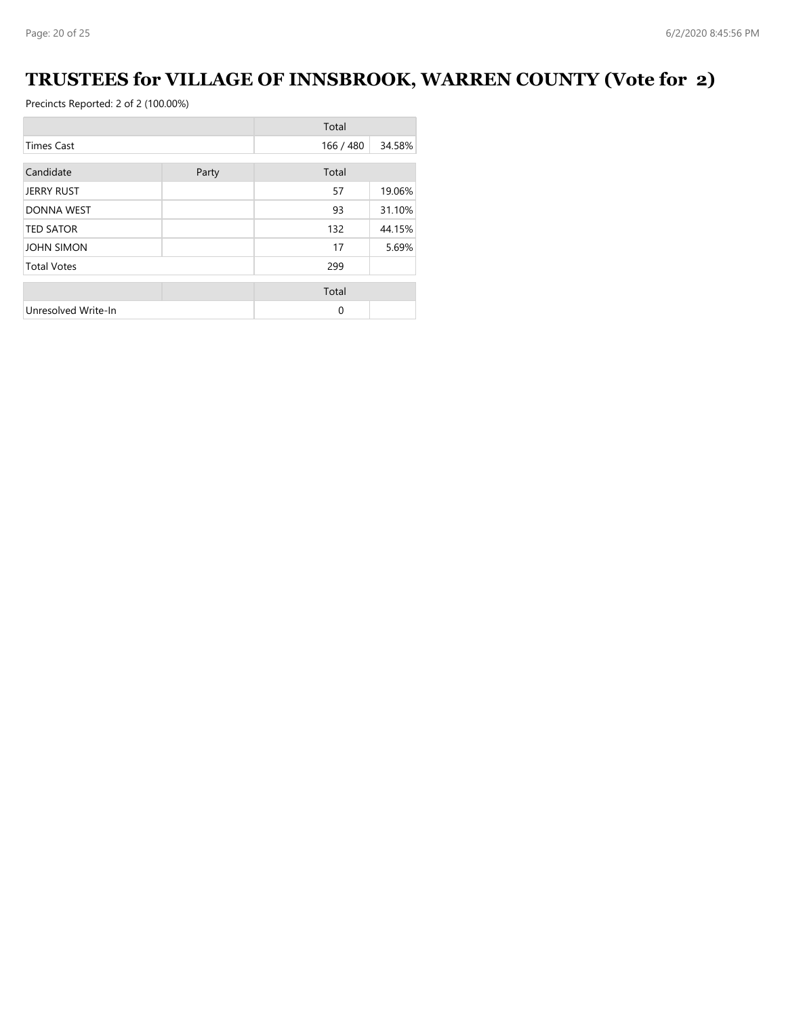# **TRUSTEES for VILLAGE OF INNSBROOK, WARREN COUNTY (Vote for 2)**

|                     |       | Total     |        |
|---------------------|-------|-----------|--------|
| <b>Times Cast</b>   |       | 166 / 480 | 34.58% |
| Candidate           | Party | Total     |        |
| <b>JERRY RUST</b>   |       | 57        | 19.06% |
| <b>DONNA WEST</b>   |       | 93        | 31.10% |
| <b>TED SATOR</b>    |       | 132       | 44.15% |
| <b>JOHN SIMON</b>   |       | 17        | 5.69%  |
| <b>Total Votes</b>  |       | 299       |        |
|                     |       | Total     |        |
| Unresolved Write-In |       | 0         |        |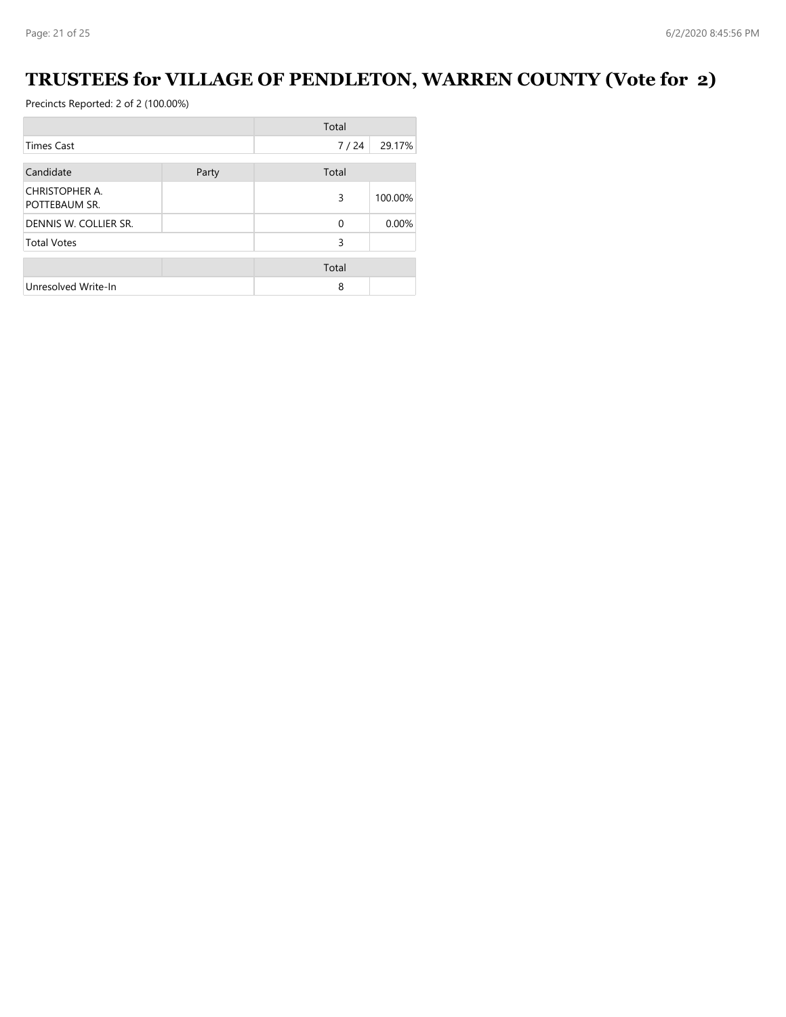# **TRUSTEES for VILLAGE OF PENDLETON, WARREN COUNTY (Vote for 2)**

|                                 |       | Total    |         |
|---------------------------------|-------|----------|---------|
| <b>Times Cast</b>               |       | 7/24     | 29.17%  |
| Candidate                       | Party | Total    |         |
| CHRISTOPHER A.<br>POTTEBAUM SR. |       | 3        | 100.00% |
| DENNIS W. COLLIER SR.           |       | $\Omega$ | 0.00%   |
| <b>Total Votes</b>              |       | 3        |         |
|                                 |       | Total    |         |
| Unresolved Write-In             |       | 8        |         |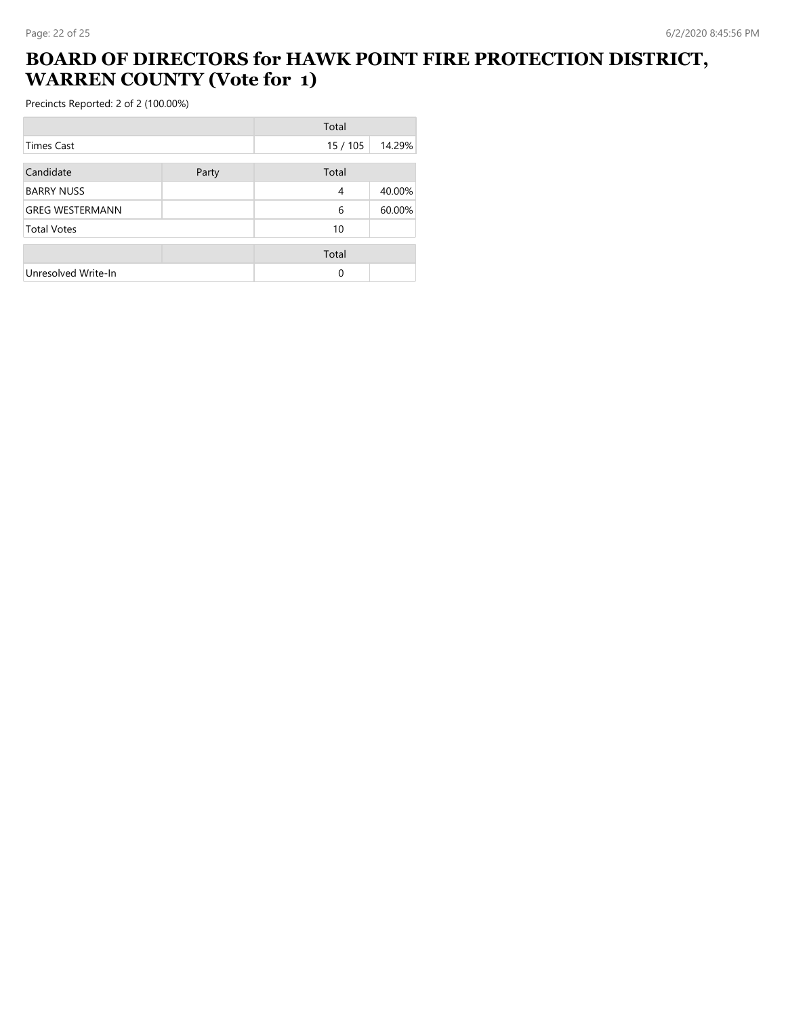# **BOARD OF DIRECTORS for HAWK POINT FIRE PROTECTION DISTRICT, WARREN COUNTY (Vote for 1)**

|                        |       | Total    |        |
|------------------------|-------|----------|--------|
| <b>Times Cast</b>      |       | 15 / 105 | 14.29% |
| Candidate              | Party | Total    |        |
| <b>BARRY NUSS</b>      |       | 4        | 40.00% |
| <b>GREG WESTERMANN</b> |       | 6        | 60.00% |
| <b>Total Votes</b>     |       | 10       |        |
|                        |       | Total    |        |
| Unresolved Write-In    |       | $\Omega$ |        |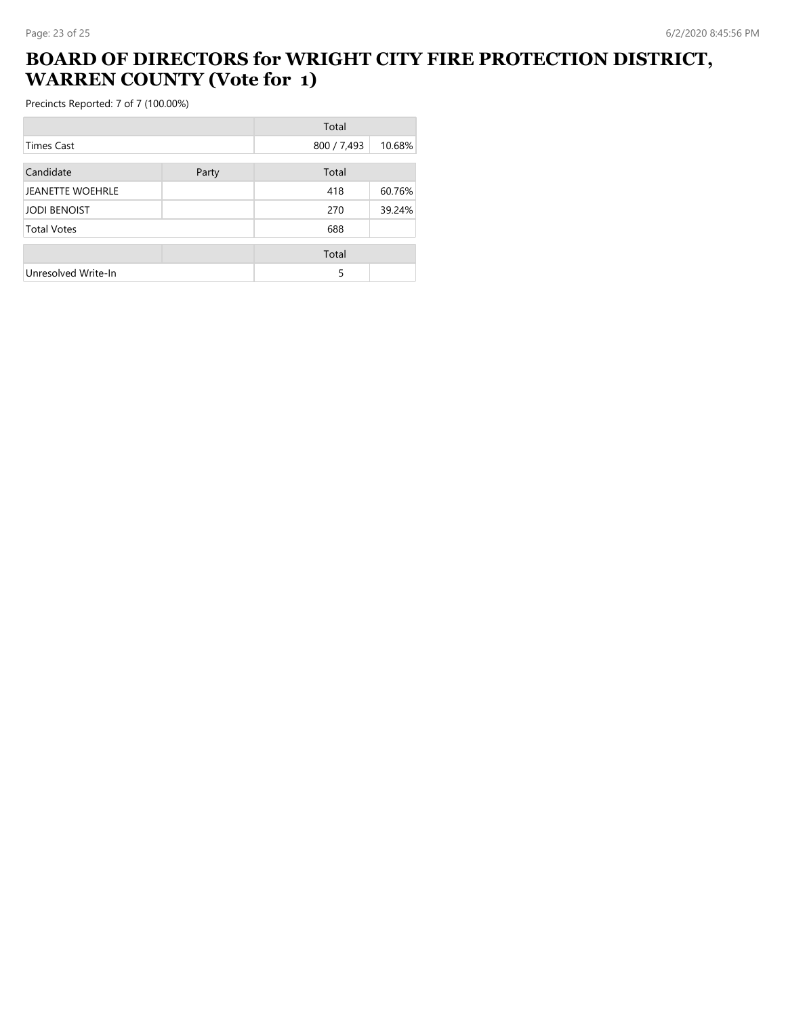# **BOARD OF DIRECTORS for WRIGHT CITY FIRE PROTECTION DISTRICT, WARREN COUNTY (Vote for 1)**

|                         |       | Total       |        |
|-------------------------|-------|-------------|--------|
| Times Cast              |       | 800 / 7,493 | 10.68% |
| Candidate               | Party | Total       |        |
| <b>JEANETTE WOEHRLE</b> |       | 418         | 60.76% |
| <b>JODI BENOIST</b>     |       | 270         | 39.24% |
| <b>Total Votes</b>      |       | 688         |        |
|                         |       | Total       |        |
| Unresolved Write-In     |       | 5           |        |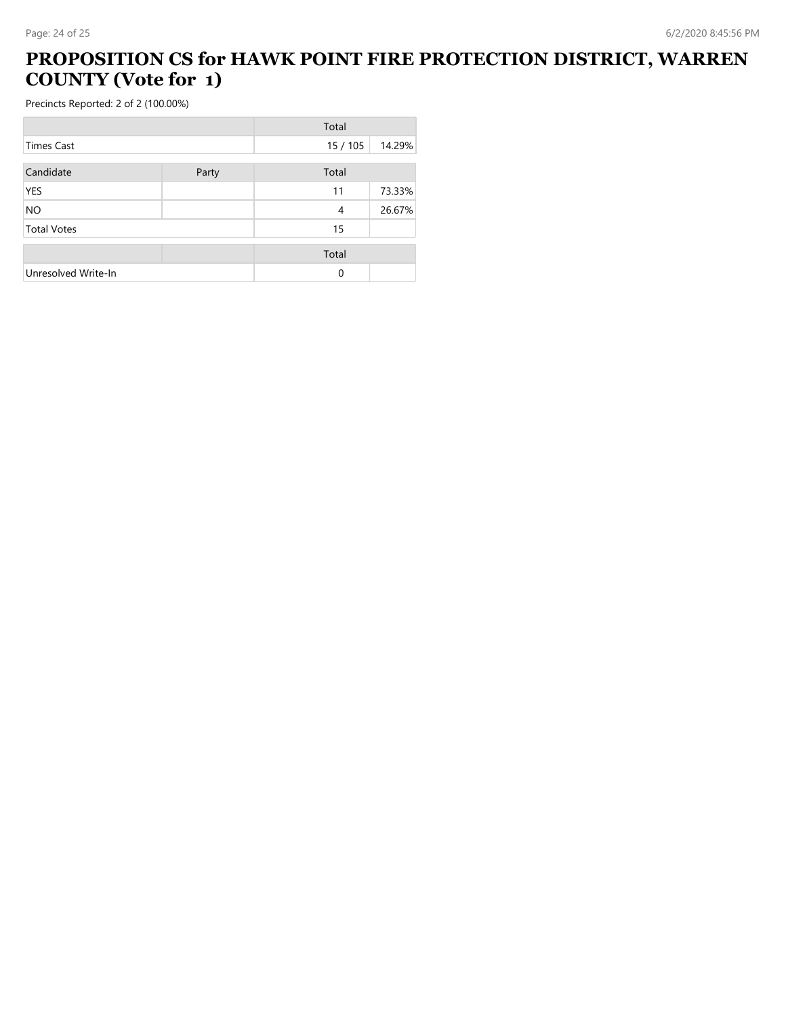# **PROPOSITION CS for HAWK POINT FIRE PROTECTION DISTRICT, WARREN COUNTY (Vote for 1)**

|                     |       | Total  |        |
|---------------------|-------|--------|--------|
| Times Cast          |       | 15/105 | 14.29% |
| Candidate           | Party | Total  |        |
| <b>YES</b>          |       | 11     | 73.33% |
| <b>NO</b>           |       | 4      | 26.67% |
| <b>Total Votes</b>  |       | 15     |        |
|                     |       | Total  |        |
| Unresolved Write-In |       | 0      |        |